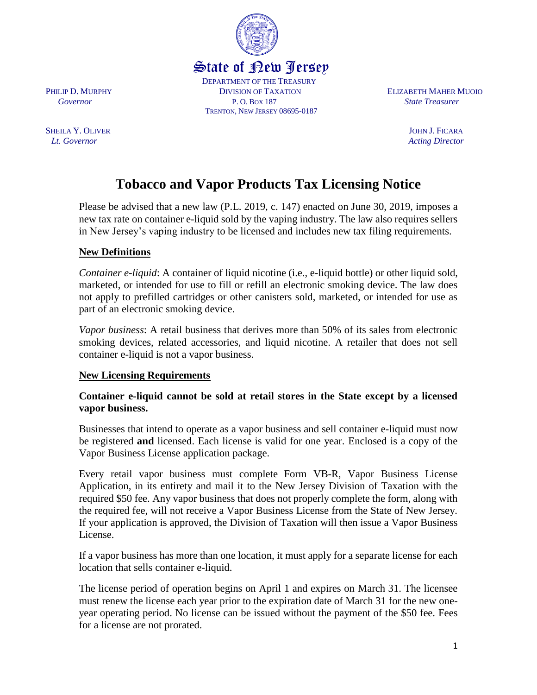

 DEPARTMENT OF THE TREASURY PHILIP D. MURPHY **DIVISION OF TAXATION ELIZABETH MAHER MUOIO**  *Governor* P. O. BOX 187 *State Treasurer* TRENTON, NEW JERSEY 08695-0187

# **Tobacco and Vapor Products Tax Licensing Notice**

Please be advised that a new law (P.L. 2019, c. 147) enacted on June 30, 2019, imposes a new tax rate on container e-liquid sold by the vaping industry. The law also requires sellers in New Jersey's vaping industry to be licensed and includes new tax filing requirements.

# **New Definitions**

*Container e-liquid*: A container of liquid nicotine (i.e., e-liquid bottle) or other liquid sold, marketed, or intended for use to fill or refill an electronic smoking device. The law does not apply to prefilled cartridges or other canisters sold, marketed, or intended for use as part of an electronic smoking device.

*Vapor business*: A retail business that derives more than 50% of its sales from electronic smoking devices, related accessories, and liquid nicotine. A retailer that does not sell container e-liquid is not a vapor business.

#### **New Licensing Requirements**

## **Container e-liquid cannot be sold at retail stores in the State except by a licensed vapor business.**

Businesses that intend to operate as a vapor business and sell container e-liquid must now be registered **and** licensed. Each license is valid for one year. Enclosed is a copy of the Vapor Business License application package.

Every retail vapor business must complete Form VB-R, Vapor Business License Application, in its entirety and mail it to the New Jersey Division of Taxation with the required \$50 fee. Any vapor business that does not properly complete the form, along with the required fee, will not receive a Vapor Business License from the State of New Jersey. If your application is approved, the Division of Taxation will then issue a Vapor Business License.

If a vapor business has more than one location, it must apply for a separate license for each location that sells container e-liquid.

The license period of operation begins on April 1 and expires on March 31. The licensee must renew the license each year prior to the expiration date of March 31 for the new oneyear operating period. No license can be issued without the payment of the \$50 fee. Fees for a license are not prorated.

SHEILA Y. OLIVER JOHN J. FICARA *Lt. Governor Acting Director Acting Director*